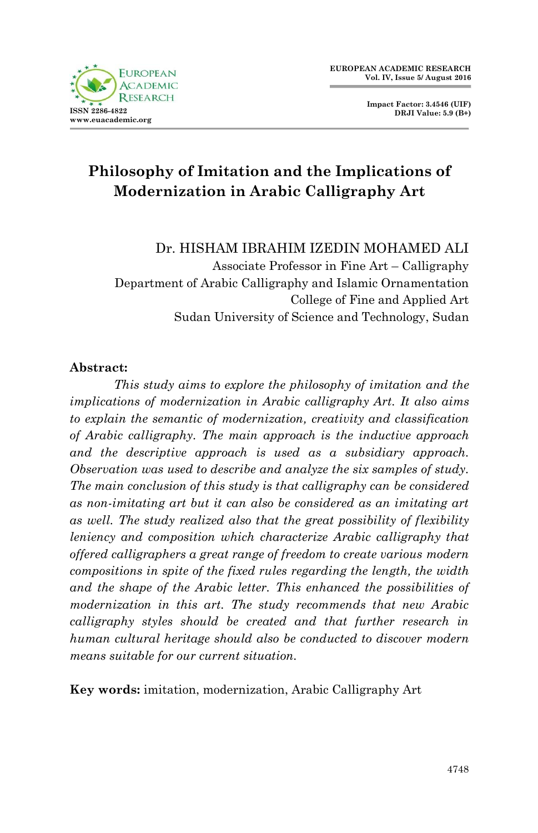

**Impact Factor: 3.4546 (UIF) DRJI Value: 5.9 (B+)**

# **Philosophy of Imitation and the Implications of Modernization in Arabic Calligraphy Art**

#### Dr. HISHAM IBRAHIM IZEDIN MOHAMED ALI

Associate Professor in Fine Art – Calligraphy Department of Arabic Calligraphy and Islamic Ornamentation College of Fine and Applied Art Sudan University of Science and Technology, Sudan

#### **Abstract:**

 *This study aims to explore the philosophy of imitation and the implications of modernization in Arabic calligraphy Art. It also aims to explain the semantic of modernization, creativity and classification of Arabic calligraphy. The main approach is the inductive approach and the descriptive approach is used as a subsidiary approach. Observation was used to describe and analyze the six samples of study. The main conclusion of this study is that calligraphy can be considered as non-imitating art but it can also be considered as an imitating art as well. The study realized also that the great possibility of flexibility leniency and composition which characterize Arabic calligraphy that offered calligraphers a great range of freedom to create various modern compositions in spite of the fixed rules regarding the length, the width and the shape of the Arabic letter. This enhanced the possibilities of modernization in this art. The study recommends that new Arabic calligraphy styles should be created and that further research in human cultural heritage should also be conducted to discover modern means suitable for our current situation.*

**Key words:** imitation, modernization, Arabic Calligraphy Art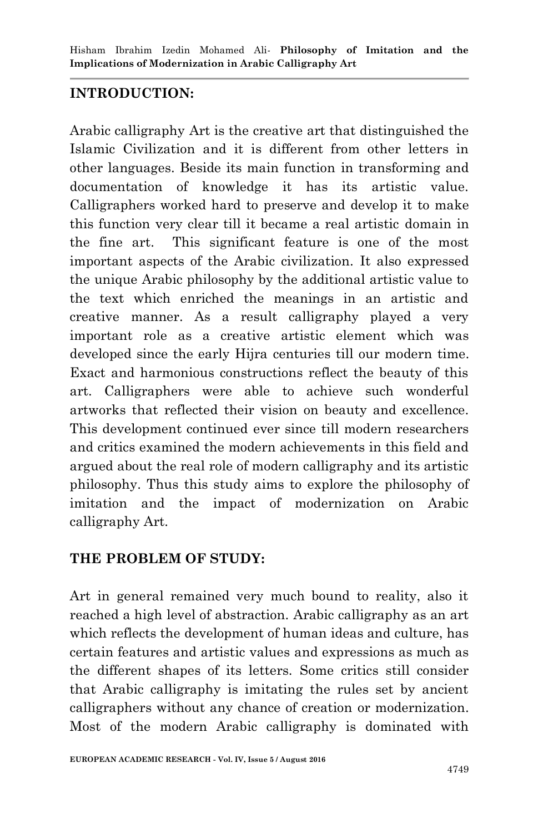## **INTRODUCTION:**

Arabic calligraphy Art is the creative art that distinguished the Islamic Civilization and it is different from other letters in other languages. Beside its main function in transforming and documentation of knowledge it has its artistic value. Calligraphers worked hard to preserve and develop it to make this function very clear till it became a real artistic domain in the fine art. This significant feature is one of the most important aspects of the Arabic civilization. It also expressed the unique Arabic philosophy by the additional artistic value to the text which enriched the meanings in an artistic and creative manner. As a result calligraphy played a very important role as a creative artistic element which was developed since the early Hijra centuries till our modern time. Exact and harmonious constructions reflect the beauty of this art. Calligraphers were able to achieve such wonderful artworks that reflected their vision on beauty and excellence. This development continued ever since till modern researchers and critics examined the modern achievements in this field and argued about the real role of modern calligraphy and its artistic philosophy. Thus this study aims to explore the philosophy of imitation and the impact of modernization on Arabic calligraphy Art.

### **THE PROBLEM OF STUDY:**

Art in general remained very much bound to reality, also it reached a high level of abstraction. Arabic calligraphy as an art which reflects the development of human ideas and culture, has certain features and artistic values and expressions as much as the different shapes of its letters. Some critics still consider that Arabic calligraphy is imitating the rules set by ancient calligraphers without any chance of creation or modernization. Most of the modern Arabic calligraphy is dominated with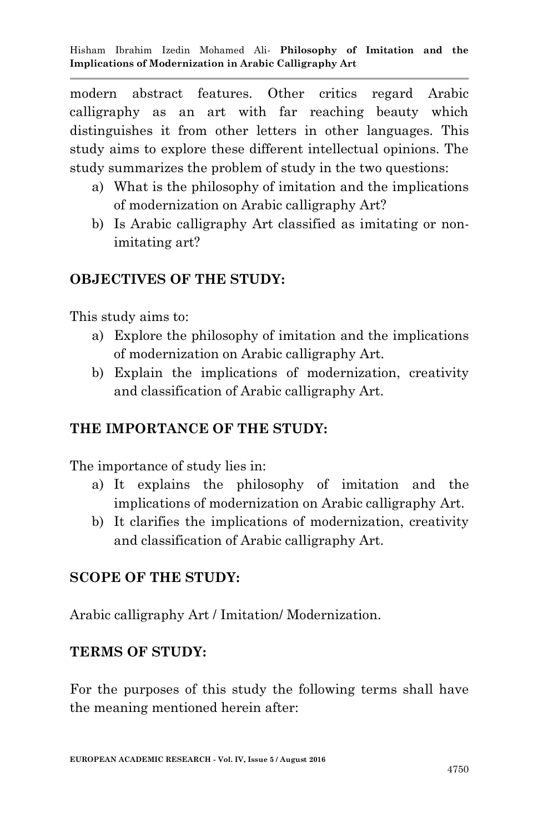modern abstract features. Other critics regard Arabic calligraphy as an art with far reaching beauty which distinguishes it from other letters in other languages. This study aims to explore these different intellectual opinions. The study summarizes the problem of study in the two questions:

- a) What is the philosophy of imitation and the implications of modernization on Arabic calligraphy Art?
- b) Is Arabic calligraphy Art classified as imitating or nonimitating art?

#### **OBJECTIVES OF THE STUDY:**

This study aims to:

- a) Explore the philosophy of imitation and the implications of modernization on Arabic calligraphy Art.
- b) Explain the implications of modernization, creativity and classification of Arabic calligraphy Art.

### **THE IMPORTANCE OF THE STUDY:**

The importance of study lies in:

- a) It explains the philosophy of imitation and the implications of modernization on Arabic calligraphy Art.
- b) It clarifies the implications of modernization, creativity and classification of Arabic calligraphy Art.

#### **SCOPE OF THE STUDY:**

Arabic calligraphy Art / Imitation/ Modernization.

#### **TERMS OF STUDY:**

For the purposes of this study the following terms shall have the meaning mentioned herein after: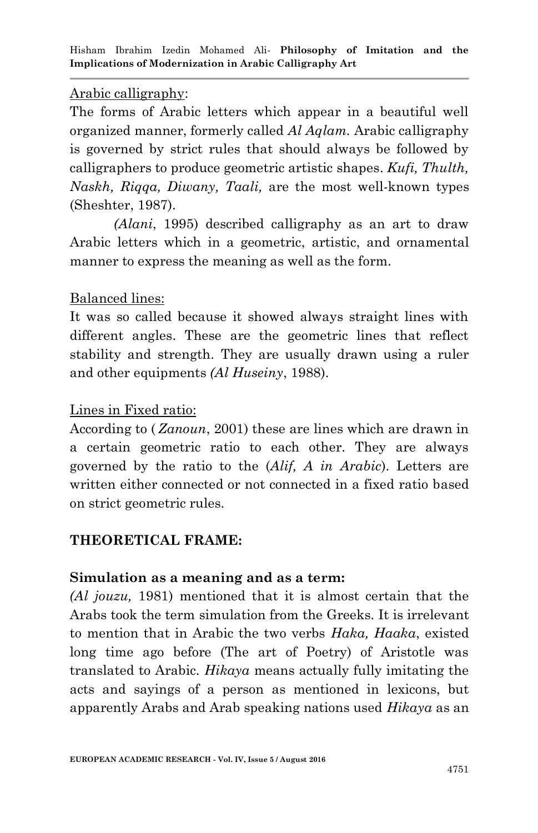#### Arabic calligraphy:

The forms of Arabic letters which appear in a beautiful well organized manner, formerly called *Al Aqlam.* Arabic calligraphy is governed by strict rules that should always be followed by calligraphers to produce geometric artistic shapes. *Kufi, Thulth, Naskh, Riqqa, Diwany, Taali,* are the most well-known types (Sheshter, 1987).

*(Alani*, 1995) described calligraphy as an art to draw Arabic letters which in a geometric, artistic, and ornamental manner to express the meaning as well as the form.

## Balanced lines:

It was so called because it showed always straight lines with different angles. These are the geometric lines that reflect stability and strength. They are usually drawn using a ruler and other equipments *(Al Huseiny*, 1988).

### Lines in Fixed ratio:

According to ( *Zanoun*, 2001) these are lines which are drawn in a certain geometric ratio to each other. They are always governed by the ratio to the (*Alif, A in Arabic*). Letters are written either connected or not connected in a fixed ratio based on strict geometric rules.

# **THEORETICAL FRAME:**

### **Simulation as a meaning and as a term:**

*(Al jouzu,* 1981) mentioned that it is almost certain that the Arabs took the term simulation from the Greeks. It is irrelevant to mention that in Arabic the two verbs *Haka, Haaka*, existed long time ago before (The art of Poetry) of Aristotle was translated to Arabic. *Hikaya* means actually fully imitating the acts and sayings of a person as mentioned in lexicons, but apparently Arabs and Arab speaking nations used *Hikaya* as an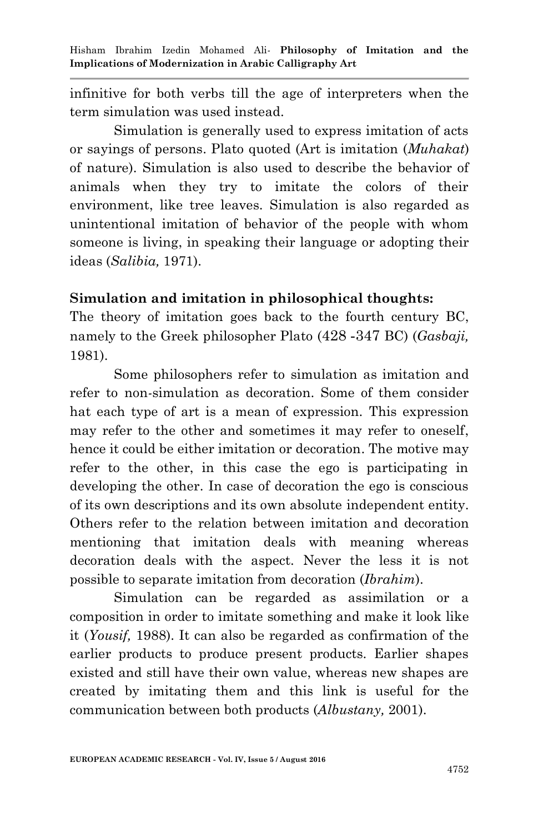infinitive for both verbs till the age of interpreters when the term simulation was used instead.

Simulation is generally used to express imitation of acts or sayings of persons. Plato quoted (Art is imitation (*Muhakat*) of nature). Simulation is also used to describe the behavior of animals when they try to imitate the colors of their environment, like tree leaves. Simulation is also regarded as unintentional imitation of behavior of the people with whom someone is living, in speaking their language or adopting their ideas (*Salibia,* 1971).

#### **Simulation and imitation in philosophical thoughts:**

The theory of imitation goes back to the fourth century BC, namely to the Greek philosopher Plato (424 -343 BC) (*Gasbaji,* 1981).

Some philosophers refer to simulation as imitation and refer to non*-*simulation as decoration. Some of them consider hat each type of art is a mean of expression. This expression may refer to the other and sometimes it may refer to oneself, hence it could be either imitation or decoration. The motive may refer to the other, in this case the ego is participating in developing the other. In case of decoration the ego is conscious of its own descriptions and its own absolute independent entity. Others refer to the relation between imitation and decoration mentioning that imitation deals with meaning whereas decoration deals with the aspect. Never the less it is not possible to separate imitation from decoration (*Ibrahim*).

Simulation can be regarded as assimilation or a composition in order to imitate something and make it look like it (*Yousif,* 1988). It can also be regarded as confirmation of the earlier products to produce present products. Earlier shapes existed and still have their own value, whereas new shapes are created by imitating them and this link is useful for the communication between both products (*Albustany,* 2001).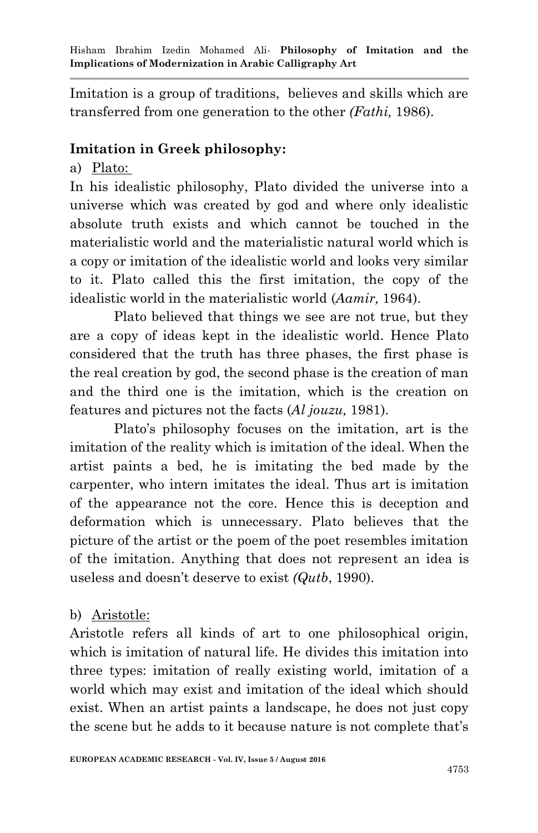Imitation is a group of traditions, believes and skills which are transferred from one generation to the other *(Fathi,* 1986).

#### **Imitation in Greek philosophy:**

a) Plato:

In his idealistic philosophy, Plato divided the universe into a universe which was created by god and where only idealistic absolute truth exists and which cannot be touched in the materialistic world and the materialistic natural world which is a copy or imitation of the idealistic world and looks very similar to it. Plato called this the first imitation, the copy of the idealistic world in the materialistic world (*Aamir,* 1964).

Plato believed that things we see are not true, but they are a copy of ideas kept in the idealistic world. Hence Plato considered that the truth has three phases, the first phase is the real creation by god, the second phase is the creation of man and the third one is the imitation, which is the creation on features and pictures not the facts (*Al jouzu,* 1981).

Plato's philosophy focuses on the imitation, art is the imitation of the reality which is imitation of the ideal. When the artist paints a bed, he is imitating the bed made by the carpenter, who intern imitates the ideal. Thus art is imitation of the appearance not the core. Hence this is deception and deformation which is unnecessary. Plato believes that the picture of the artist or the poem of the poet resembles imitation of the imitation. Anything that does not represent an idea is useless and doesn't deserve to exist *(Qutb*, 1990).

### b) Aristotle:

Aristotle refers all kinds of art to one philosophical origin, which is imitation of natural life. He divides this imitation into three types: imitation of really existing world, imitation of a world which may exist and imitation of the ideal which should exist. When an artist paints a landscape, he does not just copy the scene but he adds to it because nature is not complete that's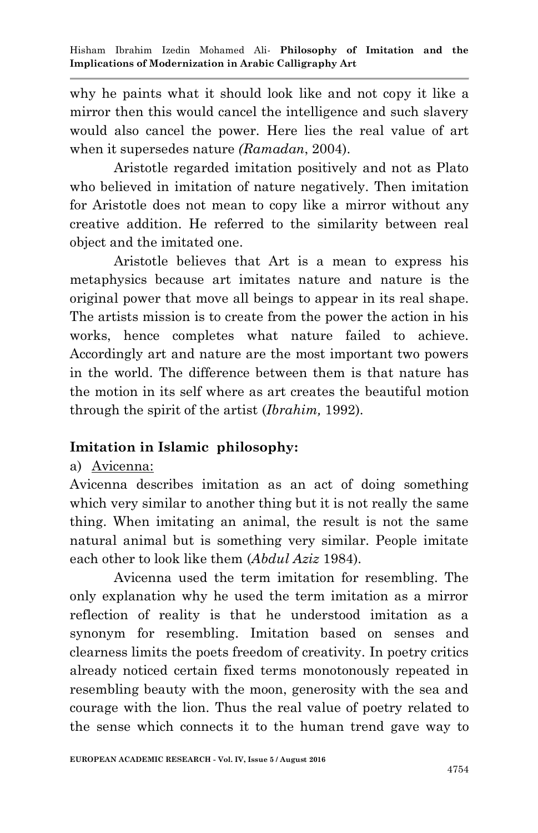why he paints what it should look like and not copy it like a mirror then this would cancel the intelligence and such slavery would also cancel the power. Here lies the real value of art when it supersedes nature *(Ramadan*, 2004).

Aristotle regarded imitation positively and not as Plato who believed in imitation of nature negatively. Then imitation for Aristotle does not mean to copy like a mirror without any creative addition. He referred to the similarity between real object and the imitated one.

Aristotle believes that Art is a mean to express his metaphysics because art imitates nature and nature is the original power that move all beings to appear in its real shape. The artists mission is to create from the power the action in his works, hence completes what nature failed to achieve. Accordingly art and nature are the most important two powers in the world. The difference between them is that nature has the motion in its self where as art creates the beautiful motion through the spirit of the artist (*Ibrahim,* 1992).

# **Imitation in Islamic philosophy:**

### a) Avicenna:

Avicenna describes imitation as an act of doing something which very similar to another thing but it is not really the same thing. When imitating an animal, the result is not the same natural animal but is something very similar. People imitate each other to look like them (*Abdul Aziz* 1984).

Avicenna used the term imitation for resembling. The only explanation why he used the term imitation as a mirror reflection of reality is that he understood imitation as a synonym for resembling. Imitation based on senses and clearness limits the poets freedom of creativity. In poetry critics already noticed certain fixed terms monotonously repeated in resembling beauty with the moon, generosity with the sea and courage with the lion. Thus the real value of poetry related to the sense which connects it to the human trend gave way to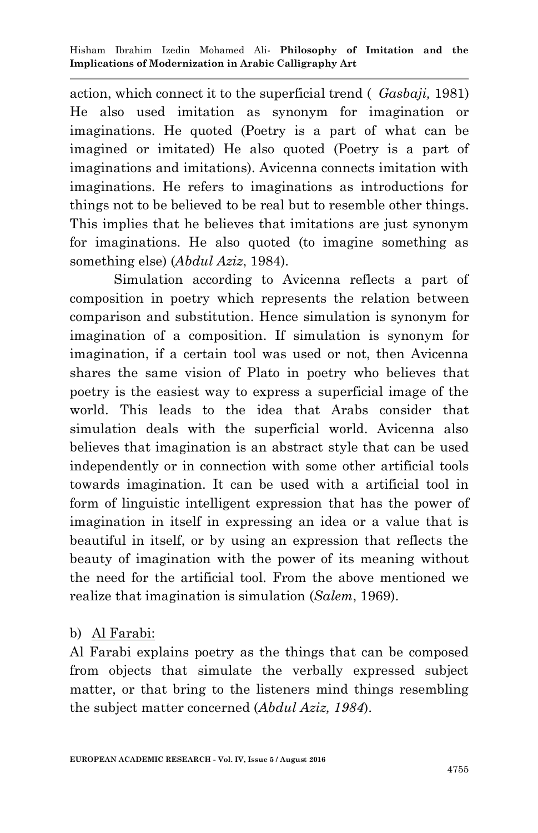action, which connect it to the superficial trend ( *Gasbaji,* 1981) He also used imitation as synonym for imagination or imaginations. He quoted (Poetry is a part of what can be imagined or imitated) He also quoted (Poetry is a part of imaginations and imitations). Avicenna connects imitation with imaginations. He refers to imaginations as introductions for things not to be believed to be real but to resemble other things. This implies that he believes that imitations are just synonym for imaginations. He also quoted (to imagine something as something else) (*Abdul Aziz*, 1984).

Simulation according to Avicenna reflects a part of composition in poetry which represents the relation between comparison and substitution. Hence simulation is synonym for imagination of a composition. If simulation is synonym for imagination, if a certain tool was used or not, then Avicenna shares the same vision of Plato in poetry who believes that poetry is the easiest way to express a superficial image of the world. This leads to the idea that Arabs consider that simulation deals with the superficial world. Avicenna also believes that imagination is an abstract style that can be used independently or in connection with some other artificial tools towards imagination. It can be used with a artificial tool in form of linguistic intelligent expression that has the power of imagination in itself in expressing an idea or a value that is beautiful in itself, or by using an expression that reflects the beauty of imagination with the power of its meaning without the need for the artificial tool. From the above mentioned we realize that imagination is simulation (*Salem*, 1969).

### b) Al Farabi:

Al Farabi explains poetry as the things that can be composed from objects that simulate the verbally expressed subject matter, or that bring to the listeners mind things resembling the subject matter concerned (*Abdul Aziz, 1984*).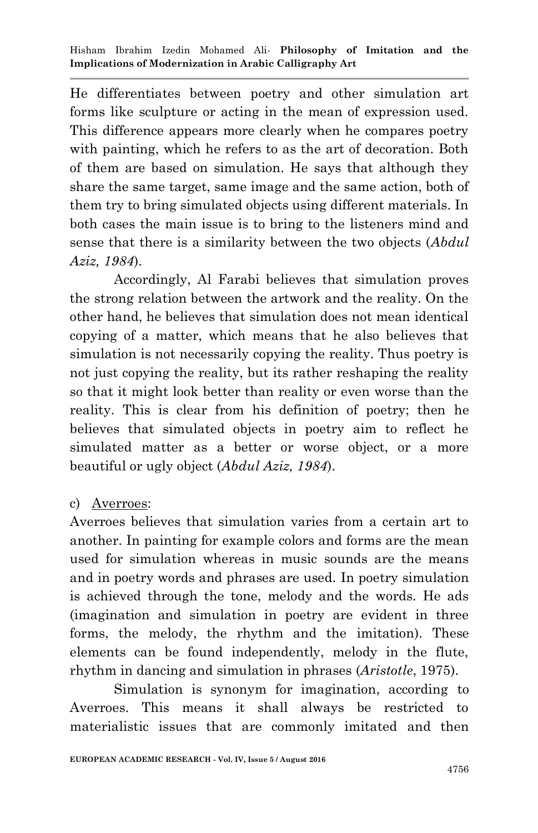He differentiates between poetry and other simulation art forms like sculpture or acting in the mean of expression used. This difference appears more clearly when he compares poetry with painting, which he refers to as the art of decoration. Both of them are based on simulation. He says that although they share the same target, same image and the same action, both of them try to bring simulated objects using different materials. In both cases the main issue is to bring to the listeners mind and sense that there is a similarity between the two objects (*Abdul Aziz, 1984*).

Accordingly, Al Farabi believes that simulation proves the strong relation between the artwork and the reality. On the other hand, he believes that simulation does not mean identical copying of a matter, which means that he also believes that simulation is not necessarily copying the reality. Thus poetry is not just copying the reality, but its rather reshaping the reality so that it might look better than reality or even worse than the reality. This is clear from his definition of poetry; then he believes that simulated objects in poetry aim to reflect he simulated matter as a better or worse object, or a more beautiful or ugly object (*Abdul Aziz, 1984*).

#### c) Averroes:

Averroes believes that simulation varies from a certain art to another. In painting for example colors and forms are the mean used for simulation whereas in music sounds are the means and in poetry words and phrases are used. In poetry simulation is achieved through the tone, melody and the words. He ads (imagination and simulation in poetry are evident in three forms, the melody, the rhythm and the imitation). These elements can be found independently, melody in the flute, rhythm in dancing and simulation in phrases (*Aristotle*, 1975).

Simulation is synonym for imagination, according to Averroes. This means it shall always be restricted to materialistic issues that are commonly imitated and then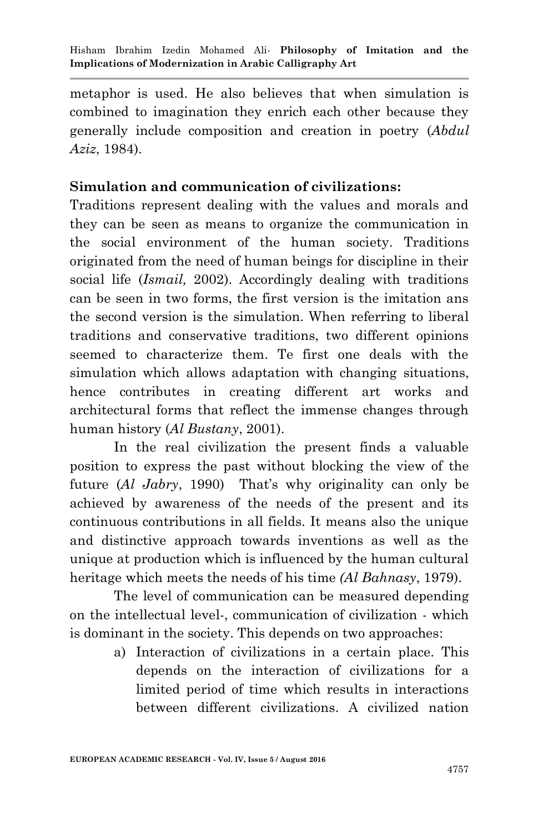metaphor is used. He also believes that when simulation is combined to imagination they enrich each other because they generally include composition and creation in poetry (*Abdul Aziz*, 1984).

#### **Simulation and communication of civilizations:**

Traditions represent dealing with the values and morals and they can be seen as means to organize the communication in the social environment of the human society. Traditions originated from the need of human beings for discipline in their social life (*Ismail,* 2002). Accordingly dealing with traditions can be seen in two forms, the first version is the imitation ans the second version is the simulation. When referring to liberal traditions and conservative traditions, two different opinions seemed to characterize them. Te first one deals with the simulation which allows adaptation with changing situations, hence contributes in creating different art works and architectural forms that reflect the immense changes through human history (*Al Bustany*, 2001).

In the real civilization the present finds a valuable position to express the past without blocking the view of the future (*Al Jabry*, 1990) That's why originality can only be achieved by awareness of the needs of the present and its continuous contributions in all fields. It means also the unique and distinctive approach towards inventions as well as the unique at production which is influenced by the human cultural heritage which meets the needs of his time *(Al Bahnasy*, 1979).

The level of communication can be measured depending on the intellectual level-, communication of civilization - which is dominant in the society. This depends on two approaches:

> a) Interaction of civilizations in a certain place. This depends on the interaction of civilizations for a limited period of time which results in interactions between different civilizations. A civilized nation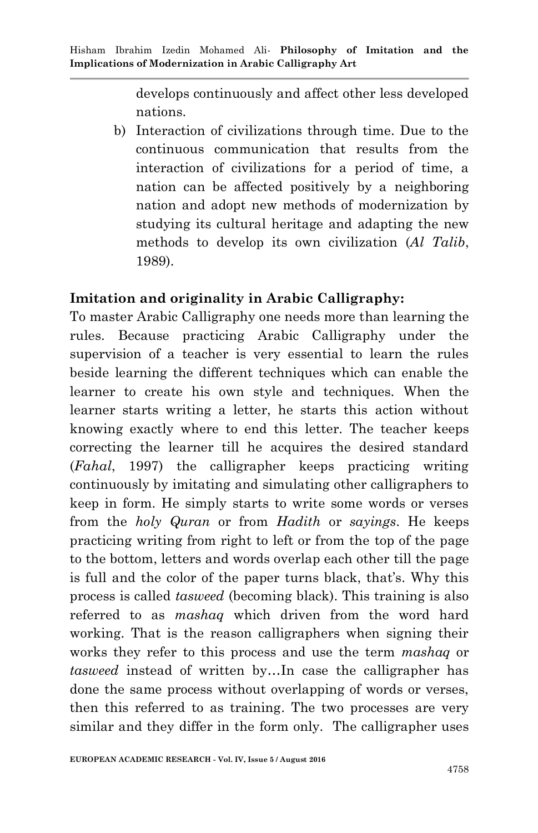develops continuously and affect other less developed nations.

b) Interaction of civilizations through time. Due to the continuous communication that results from the interaction of civilizations for a period of time, a nation can be affected positively by a neighboring nation and adopt new methods of modernization by studying its cultural heritage and adapting the new methods to develop its own civilization (*Al Talib*, 1989).

#### **Imitation and originality in Arabic Calligraphy:**

To master Arabic Calligraphy one needs more than learning the rules. Because practicing Arabic Calligraphy under the supervision of a teacher is very essential to learn the rules beside learning the different techniques which can enable the learner to create his own style and techniques. When the learner starts writing a letter, he starts this action without knowing exactly where to end this letter. The teacher keeps correcting the learner till he acquires the desired standard (*Fahal*, 1997) the calligrapher keeps practicing writing continuously by imitating and simulating other calligraphers to keep in form. He simply starts to write some words or verses from the *holy Quran* or from *Hadith* or *sayings*. He keeps practicing writing from right to left or from the top of the page to the bottom, letters and words overlap each other till the page is full and the color of the paper turns black, that's. Why this process is called *tasweed* (becoming black). This training is also referred to as *mashaq* which driven from the word hard working. That is the reason calligraphers when signing their works they refer to this process and use the term *mashaq* or *tasweed* instead of written by…In case the calligrapher has done the same process without overlapping of words or verses, then this referred to as training. The two processes are very similar and they differ in the form only. The calligrapher uses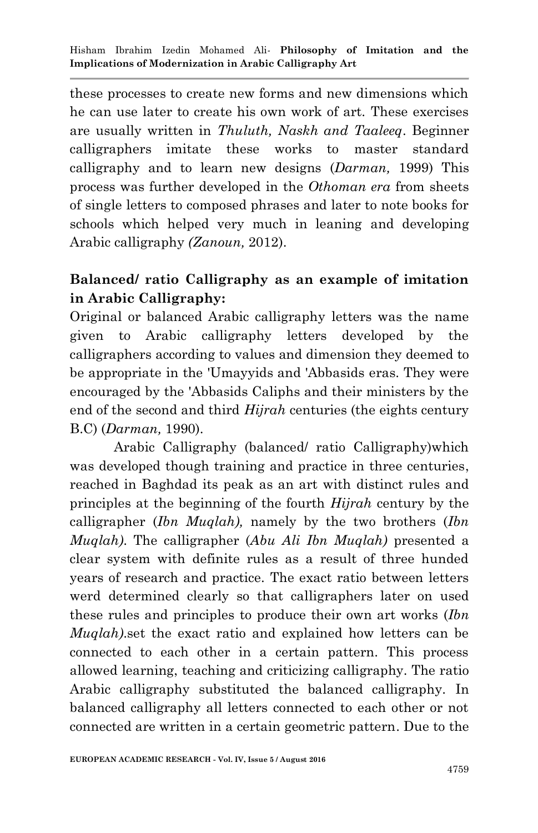these processes to create new forms and new dimensions which he can use later to create his own work of art. These exercises are usually written in *Thuluth, Naskh and Taaleeq*. Beginner calligraphers imitate these works to master standard calligraphy and to learn new designs (*Darman,* 1999) This process was further developed in the *Othoman era* from sheets of single letters to composed phrases and later to note books for schools which helped very much in leaning and developing Arabic calligraphy *(Zanoun,* 2012).

## **Balanced/ ratio Calligraphy as an example of imitation in Arabic Calligraphy:**

Original or balanced Arabic calligraphy letters was the name given to Arabic calligraphy letters developed by the calligraphers according to values and dimension they deemed to be appropriate in the 'Umayyids and 'Abbasids eras. They were encouraged by the 'Abbasids Caliphs and their ministers by the end of the second and third *Hijrah* centuries (the eights century B.C) (*Darman,* 1990).

Arabic Calligraphy (balanced/ ratio Calligraphy)which was developed though training and practice in three centuries, reached in Baghdad its peak as an art with distinct rules and principles at the beginning of the fourth *Hijrah* century by the calligrapher (*Ibn Muqlah),* namely by the two brothers (*Ibn Muqlah)*. The calligrapher (*Abu Ali Ibn Muqlah)* presented a clear system with definite rules as a result of three hunded years of research and practice. The exact ratio between letters werd determined clearly so that calligraphers later on used these rules and principles to produce their own art works (*Ibn Muqlah)*.set the exact ratio and explained how letters can be connected to each other in a certain pattern. This process allowed learning, teaching and criticizing calligraphy. The ratio Arabic calligraphy substituted the balanced calligraphy. In balanced calligraphy all letters connected to each other or not connected are written in a certain geometric pattern. Due to the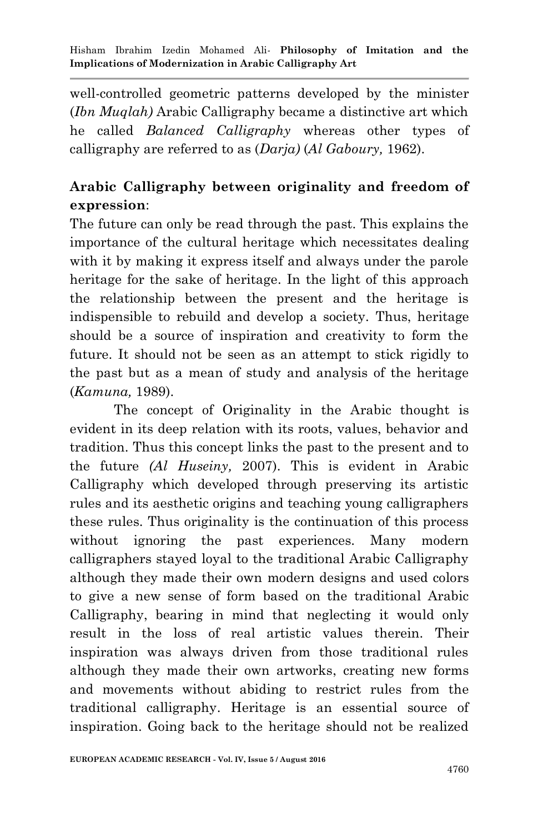well-controlled geometric patterns developed by the minister (*Ibn Muqlah)* Arabic Calligraphy became a distinctive art which he called *Balanced Calligraphy* whereas other types of calligraphy are referred to as (*Darja)* (*Al Gaboury,* 1962).

# **Arabic Calligraphy between originality and freedom of expression**:

The future can only be read through the past. This explains the importance of the cultural heritage which necessitates dealing with it by making it express itself and always under the parole heritage for the sake of heritage. In the light of this approach the relationship between the present and the heritage is indispensible to rebuild and develop a society. Thus, heritage should be a source of inspiration and creativity to form the future. It should not be seen as an attempt to stick rigidly to the past but as a mean of study and analysis of the heritage (*Kamuna,* 1989).

The concept of Originality in the Arabic thought is evident in its deep relation with its roots, values, behavior and tradition. Thus this concept links the past to the present and to the future *(Al Huseiny,* 2007). This is evident in Arabic Calligraphy which developed through preserving its artistic rules and its aesthetic origins and teaching young calligraphers these rules. Thus originality is the continuation of this process without ignoring the past experiences. Many modern calligraphers stayed loyal to the traditional Arabic Calligraphy although they made their own modern designs and used colors to give a new sense of form based on the traditional Arabic Calligraphy, bearing in mind that neglecting it would only result in the loss of real artistic values therein. Their inspiration was always driven from those traditional rules although they made their own artworks, creating new forms and movements without abiding to restrict rules from the traditional calligraphy. Heritage is an essential source of inspiration. Going back to the heritage should not be realized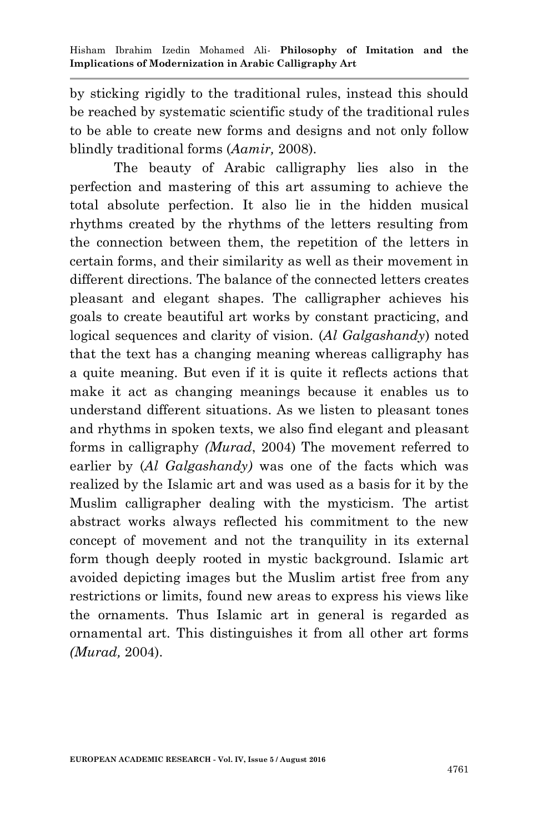by sticking rigidly to the traditional rules, instead this should be reached by systematic scientific study of the traditional rules to be able to create new forms and designs and not only follow blindly traditional forms (*Aamir,* 2008).

The beauty of Arabic calligraphy lies also in the perfection and mastering of this art assuming to achieve the total absolute perfection. It also lie in the hidden musical rhythms created by the rhythms of the letters resulting from the connection between them, the repetition of the letters in certain forms, and their similarity as well as their movement in different directions. The balance of the connected letters creates pleasant and elegant shapes. The calligrapher achieves his goals to create beautiful art works by constant practicing, and logical sequences and clarity of vision. (*Al Galgashandy*) noted that the text has a changing meaning whereas calligraphy has a quite meaning. But even if it is quite it reflects actions that make it act as changing meanings because it enables us to understand different situations. As we listen to pleasant tones and rhythms in spoken texts, we also find elegant and pleasant forms in calligraphy *(Murad*, 2004) The movement referred to earlier by (*Al Galgashandy)* was one of the facts which was realized by the Islamic art and was used as a basis for it by the Muslim calligrapher dealing with the mysticism. The artist abstract works always reflected his commitment to the new concept of movement and not the tranquility in its external form though deeply rooted in mystic background. Islamic art avoided depicting images but the Muslim artist free from any restrictions or limits, found new areas to express his views like the ornaments. Thus Islamic art in general is regarded as ornamental art. This distinguishes it from all other art forms *(Murad,* 2004).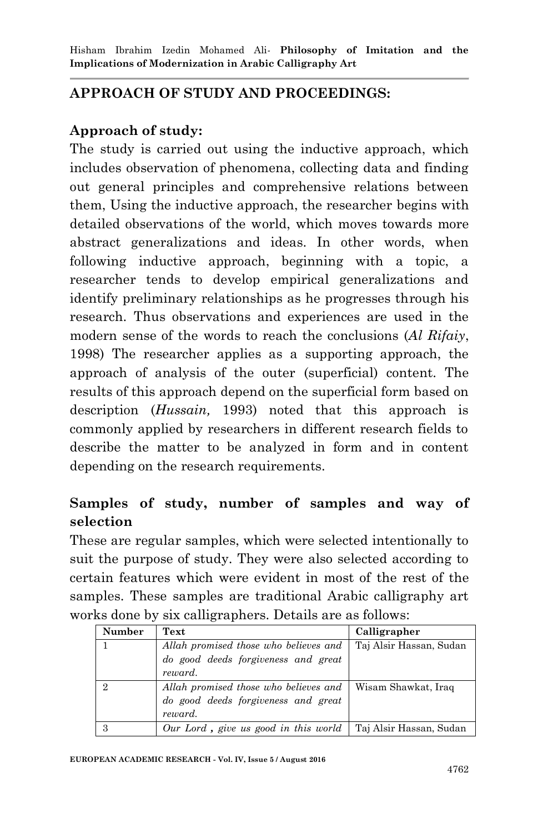## **APPROACH OF STUDY AND PROCEEDINGS:**

## **Approach of study:**

The study is carried out using the inductive approach, which includes observation of phenomena, collecting data and finding out general principles and comprehensive relations between them, Using the inductive approach, the researcher begins with detailed observations of the world, which moves towards more abstract generalizations and ideas. In other words, when following inductive approach, beginning with a topic, a researcher tends to develop empirical generalizations and identify preliminary relationships as he progresses through his research. Thus observations and experiences are used in the modern sense of the words to reach the conclusions (*Al Rifaiy*, 1998) The researcher applies as a supporting approach, the approach of analysis of the outer (superficial) content. The results of this approach depend on the superficial form based on description (*Hussain,* 1993) noted that this approach is commonly applied by researchers in different research fields to describe the matter to be analyzed in form and in content depending on the research requirements.

## **Samples of study, number of samples and way of selection**

These are regular samples, which were selected intentionally to suit the purpose of study. They were also selected according to certain features which were evident in most of the rest of the samples. These samples are traditional Arabic calligraphy art works done by six calligraphers. Details are as follows:

| <b>Number</b> | Text                                  | Calligrapher            |
|---------------|---------------------------------------|-------------------------|
|               | Allah promised those who believes and | Taj Alsir Hassan, Sudan |
|               | do good deeds forgiveness and great   |                         |
|               | reward.                               |                         |
| $\Omega$      | Allah promised those who believes and | Wisam Shawkat, Iraq     |
|               | do good deeds forgiveness and great   |                         |
|               | reward.                               |                         |
|               | Our Lord, give us good in this world  | Taj Alsir Hassan, Sudan |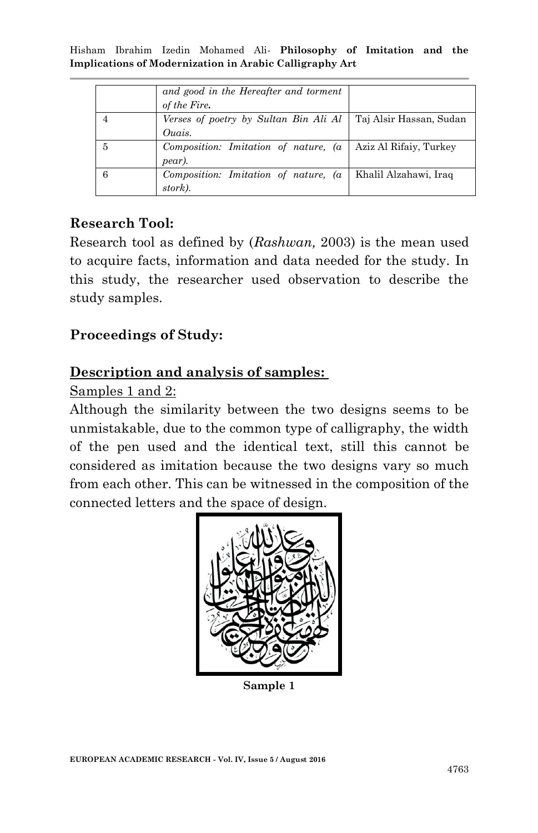|   | and good in the Hereafter and torment<br>of the Fire. |                         |
|---|-------------------------------------------------------|-------------------------|
|   | Verses of poetry by Sultan Bin Ali Al<br>Ouais.       | Taj Alsir Hassan, Sudan |
| 5 | Composition: Imitation of nature, (a<br>pear).        | Aziz Al Rifaiy, Turkey  |
|   | Composition: Imitation of nature, (a<br>stork).       | Khalil Alzahawi, Iraq   |

#### **Research Tool:**

Research tool as defined by (*Rashwan,* 2003) is the mean used to acquire facts, information and data needed for the study. In this study, the researcher used observation to describe the study samples.

### **Proceedings of Study:**

#### **Description and analysis of samples:**

#### Samples 1 and 2:

Although the similarity between the two designs seems to be unmistakable, due to the common type of calligraphy, the width of the pen used and the identical text, still this cannot be considered as imitation because the two designs vary so much from each other. This can be witnessed in the composition of the connected letters and the space of design.



**Sample 1**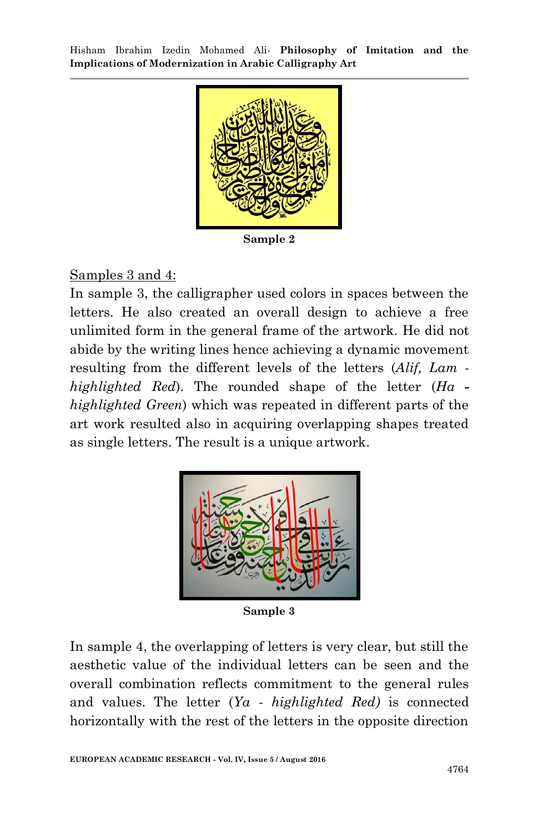

**Sample 2**

#### Samples 3 and 4:

In sample 3, the calligrapher used colors in spaces between the letters. He also created an overall design to achieve a free unlimited form in the general frame of the artwork. He did not abide by the writing lines hence achieving a dynamic movement resulting from the different levels of the letters (*Alif, Lam highlighted Red*). The rounded shape of the letter (*Ha highlighted Green*) which was repeated in different parts of the art work resulted also in acquiring overlapping shapes treated as single letters. The result is a unique artwork.



**Sample 3**

In sample 4, the overlapping of letters is very clear, but still the aesthetic value of the individual letters can be seen and the overall combination reflects commitment to the general rules and values. The letter (*Ya - highlighted Red)* is connected horizontally with the rest of the letters in the opposite direction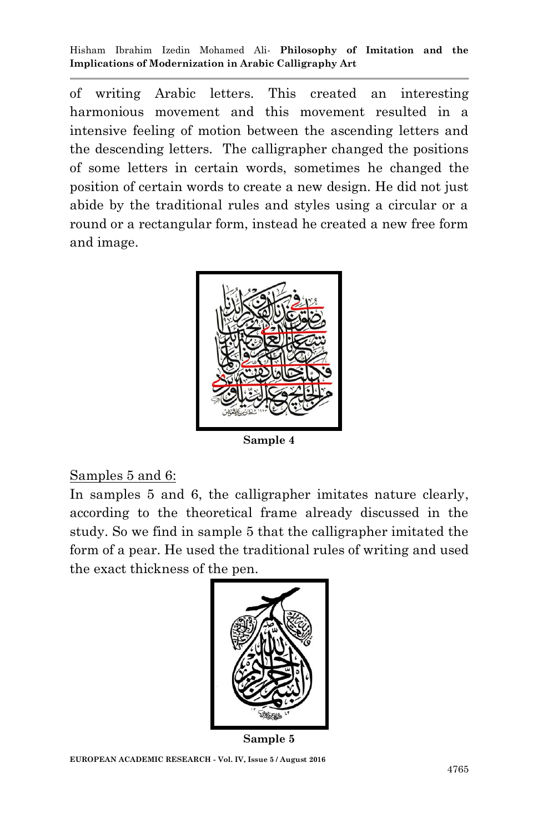of writing Arabic letters. This created an interesting harmonious movement and this movement resulted in a intensive feeling of motion between the ascending letters and the descending letters. The calligrapher changed the positions of some letters in certain words, sometimes he changed the position of certain words to create a new design. He did not just abide by the traditional rules and styles using a circular or a round or a rectangular form, instead he created a new free form and image.



**Sample 4**

#### Samples 5 and 6:

In samples 5 and 6, the calligrapher imitates nature clearly, according to the theoretical frame already discussed in the study. So we find in sample 5 that the calligrapher imitated the form of a pear. He used the traditional rules of writing and used the exact thickness of the pen.



**Sample 5**

**EUROPEAN ACADEMIC RESEARCH - Vol. IV, Issue 5 / August 2016**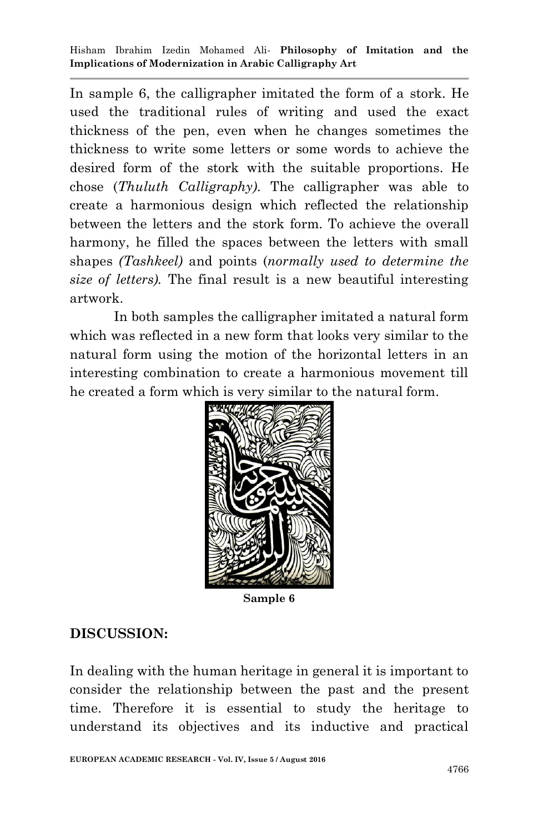In sample 6, the calligrapher imitated the form of a stork. He used the traditional rules of writing and used the exact thickness of the pen, even when he changes sometimes the thickness to write some letters or some words to achieve the desired form of the stork with the suitable proportions. He chose (*Thuluth Calligraphy).* The calligrapher was able to create a harmonious design which reflected the relationship between the letters and the stork form. To achieve the overall harmony, he filled the spaces between the letters with small shapes *(Tashkeel)* and points (*normally used to determine the size of letters).* The final result is a new beautiful interesting artwork.

In both samples the calligrapher imitated a natural form which was reflected in a new form that looks very similar to the natural form using the motion of the horizontal letters in an interesting combination to create a harmonious movement till he created a form which is very similar to the natural form.



**Sample 6**

### **DISCUSSION:**

In dealing with the human heritage in general it is important to consider the relationship between the past and the present time. Therefore it is essential to study the heritage to understand its objectives and its inductive and practical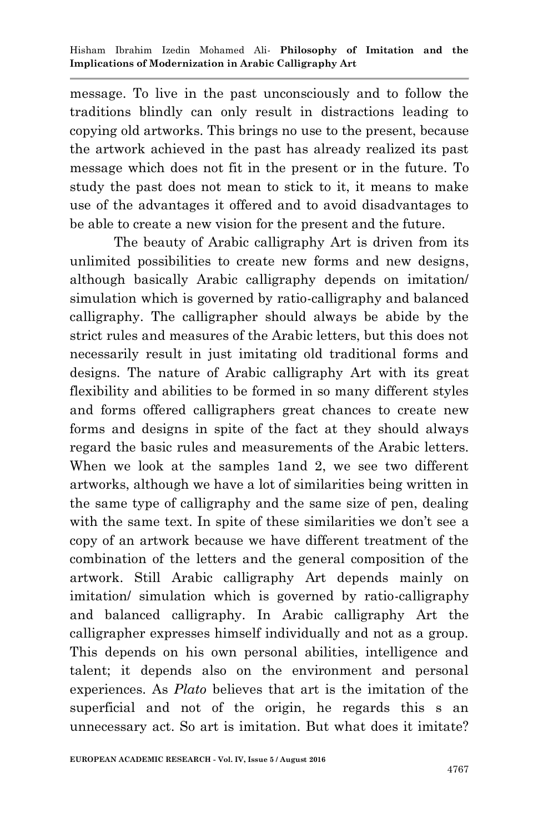message. To live in the past unconsciously and to follow the traditions blindly can only result in distractions leading to copying old artworks. This brings no use to the present, because the artwork achieved in the past has already realized its past message which does not fit in the present or in the future. To study the past does not mean to stick to it, it means to make use of the advantages it offered and to avoid disadvantages to be able to create a new vision for the present and the future.

The beauty of Arabic calligraphy Art is driven from its unlimited possibilities to create new forms and new designs, although basically Arabic calligraphy depends on imitation/ simulation which is governed by ratio-calligraphy and balanced calligraphy. The calligrapher should always be abide by the strict rules and measures of the Arabic letters, but this does not necessarily result in just imitating old traditional forms and designs. The nature of Arabic calligraphy Art with its great flexibility and abilities to be formed in so many different styles and forms offered calligraphers great chances to create new forms and designs in spite of the fact at they should always regard the basic rules and measurements of the Arabic letters. When we look at the samples 1and 2, we see two different artworks, although we have a lot of similarities being written in the same type of calligraphy and the same size of pen, dealing with the same text. In spite of these similarities we don't see a copy of an artwork because we have different treatment of the combination of the letters and the general composition of the artwork. Still Arabic calligraphy Art depends mainly on imitation/ simulation which is governed by ratio-calligraphy and balanced calligraphy. In Arabic calligraphy Art the calligrapher expresses himself individually and not as a group. This depends on his own personal abilities, intelligence and talent; it depends also on the environment and personal experiences. As *Plato* believes that art is the imitation of the superficial and not of the origin, he regards this s an unnecessary act. So art is imitation. But what does it imitate?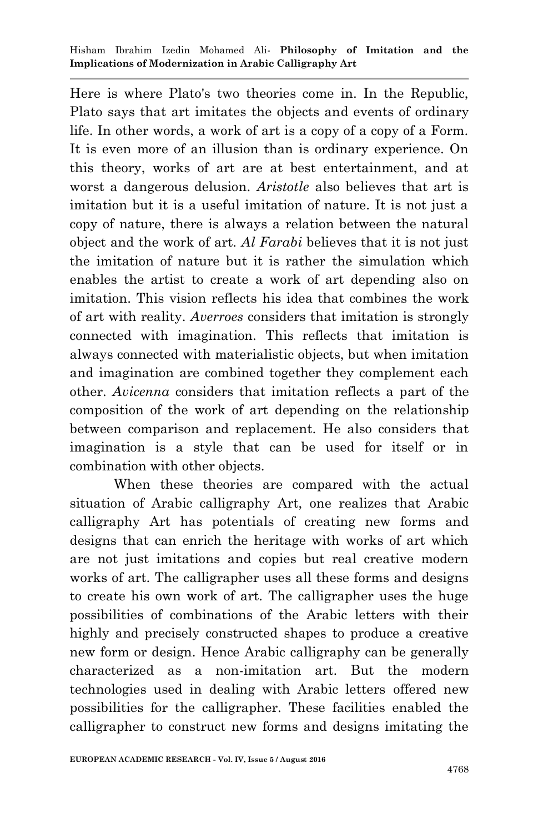Here is where Plato's two theories come in. In the Republic, Plato says that art imitates the objects and events of ordinary life. In other words, a work of art is a copy of a copy of a Form. It is even more of an illusion than is ordinary experience. On this theory, works of art are at best entertainment, and at worst a dangerous delusion. *Aristotle* also believes that art is imitation but it is a useful imitation of nature. It is not just a copy of nature, there is always a relation between the natural object and the work of art. *Al Farabi* believes that it is not just the imitation of nature but it is rather the simulation which enables the artist to create a work of art depending also on imitation. This vision reflects his idea that combines the work of art with reality. *Averroes* considers that imitation is strongly connected with imagination. This reflects that imitation is always connected with materialistic objects, but when imitation and imagination are combined together they complement each other. *Avicenna* considers that imitation reflects a part of the composition of the work of art depending on the relationship between comparison and replacement. He also considers that imagination is a style that can be used for itself or in combination with other objects.

When these theories are compared with the actual situation of Arabic calligraphy Art, one realizes that Arabic calligraphy Art has potentials of creating new forms and designs that can enrich the heritage with works of art which are not just imitations and copies but real creative modern works of art. The calligrapher uses all these forms and designs to create his own work of art. The calligrapher uses the huge possibilities of combinations of the Arabic letters with their highly and precisely constructed shapes to produce a creative new form or design. Hence Arabic calligraphy can be generally characterized as a non-imitation art. But the modern technologies used in dealing with Arabic letters offered new possibilities for the calligrapher. These facilities enabled the calligrapher to construct new forms and designs imitating the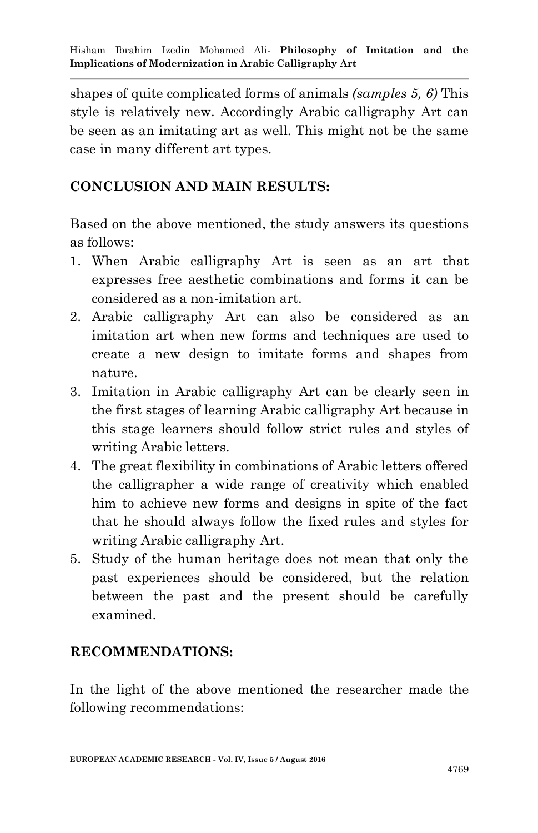shapes of quite complicated forms of animals *(samples 5, 6)* This style is relatively new. Accordingly Arabic calligraphy Art can be seen as an imitating art as well. This might not be the same case in many different art types.

## **CONCLUSION AND MAIN RESULTS:**

Based on the above mentioned, the study answers its questions as follows:

- 1. When Arabic calligraphy Art is seen as an art that expresses free aesthetic combinations and forms it can be considered as a non-imitation art.
- 2. Arabic calligraphy Art can also be considered as an imitation art when new forms and techniques are used to create a new design to imitate forms and shapes from nature.
- 3. Imitation in Arabic calligraphy Art can be clearly seen in the first stages of learning Arabic calligraphy Art because in this stage learners should follow strict rules and styles of writing Arabic letters.
- 4. The great flexibility in combinations of Arabic letters offered the calligrapher a wide range of creativity which enabled him to achieve new forms and designs in spite of the fact that he should always follow the fixed rules and styles for writing Arabic calligraphy Art.
- 5. Study of the human heritage does not mean that only the past experiences should be considered, but the relation between the past and the present should be carefully examined.

### **RECOMMENDATIONS:**

In the light of the above mentioned the researcher made the following recommendations: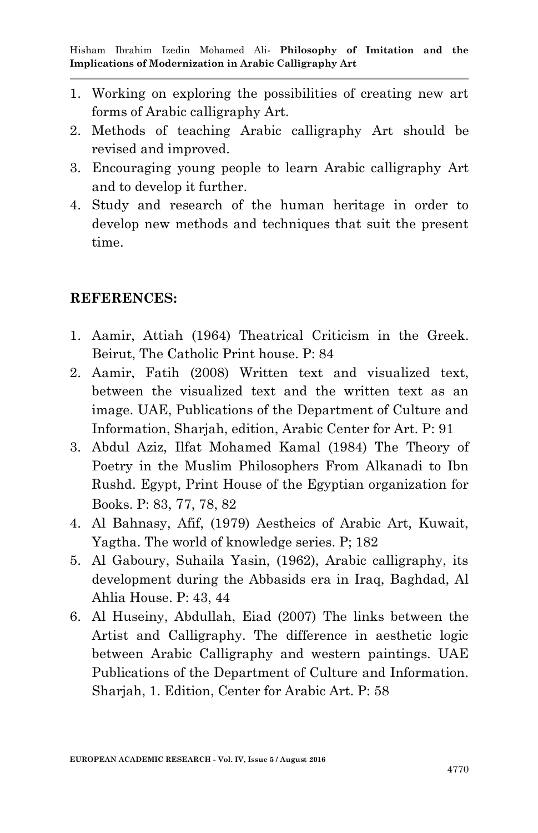- 1. Working on exploring the possibilities of creating new art forms of Arabic calligraphy Art.
- 2. Methods of teaching Arabic calligraphy Art should be revised and improved.
- 3. Encouraging young people to learn Arabic calligraphy Art and to develop it further.
- 4. Study and research of the human heritage in order to develop new methods and techniques that suit the present time.

#### **REFERENCES:**

- 1. Aamir, Attiah (1964) Theatrical Criticism in the Greek. Beirut, The Catholic Print house. P: 84
- 2. Aamir, Fatih (2008) Written text and visualized text, between the visualized text and the written text as an image. UAE, Publications of the Department of Culture and Information, Sharjah, edition, Arabic Center for Art. P: 91
- 3. Abdul Aziz, Ilfat Mohamed Kamal (1984) The Theory of Poetry in the Muslim Philosophers From Alkanadi to Ibn Rushd. Egypt, Print House of the Egyptian organization for Books. P: 83, 77, 78, 82
- 4. Al Bahnasy, Afif, (1979) Aestheics of Arabic Art, Kuwait, Yagtha. The world of knowledge series. P; 182
- 5. Al Gaboury, Suhaila Yasin, (1962), Arabic calligraphy, its development during the Abbasids era in Iraq, Baghdad, Al Ahlia House. P: 43, 44
- 6. Al Huseiny, Abdullah, Eiad (2007) The links between the Artist and Calligraphy. The difference in aesthetic logic between Arabic Calligraphy and western paintings. UAE Publications of the Department of Culture and Information. Sharjah, 1. Edition, Center for Arabic Art. P: 58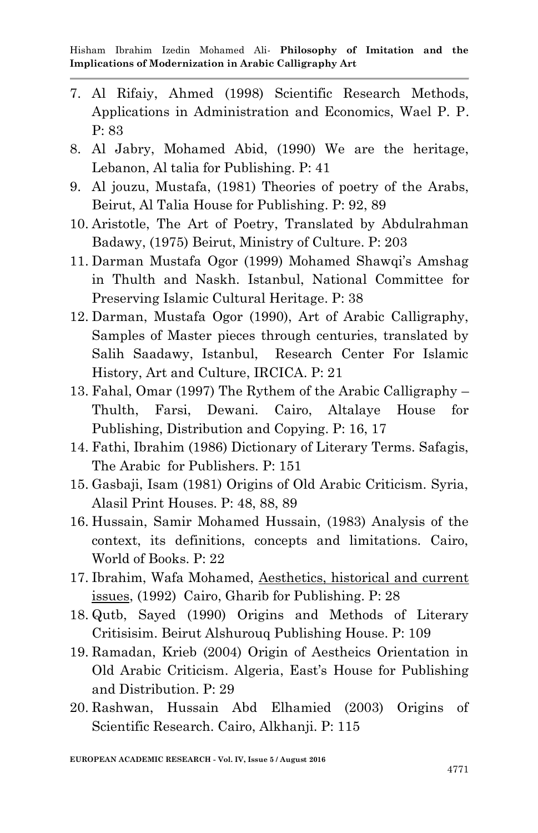- 7. Al Rifaiy, Ahmed (1998) Scientific Research Methods, Applications in Administration and Economics, Wael P. P. P: 83
- 8. Al Jabry, Mohamed Abid, (1990) We are the heritage, Lebanon, Al talia for Publishing. P: 41
- 9. Al jouzu, Mustafa, (1981) Theories of poetry of the Arabs, Beirut, Al Talia House for Publishing. P: 92, 89
- 10. Aristotle, The Art of Poetry, Translated by Abdulrahman Badawy, (1975) Beirut, Ministry of Culture. P: 203
- 11. Darman Mustafa Ogor (1999) Mohamed Shawqi's Amshag in Thulth and Naskh. Istanbul, National Committee for Preserving Islamic Cultural Heritage. P: 38
- 12. Darman, Mustafa Ogor (1990), Art of Arabic Calligraphy, Samples of Master pieces through centuries, translated by Salih Saadawy, Istanbul, Research Center For Islamic History, Art and Culture, IRCICA. P: 21
- 13. Fahal, Omar (1997) The Rythem of the Arabic Calligraphy Thulth, Farsi, Dewani. Cairo, Altalaye House for Publishing, Distribution and Copying. P: 16, 17
- 14. Fathi, Ibrahim (1986) Dictionary of Literary Terms. Safagis, The Arabic for Publishers. P: 151
- 15. Gasbaji, Isam (1981) Origins of Old Arabic Criticism. Syria, Alasil Print Houses. P: 48, 88, 89
- 16. Hussain, Samir Mohamed Hussain, (1983) Analysis of the context, its definitions, concepts and limitations. Cairo, World of Books. P: 22
- 17. Ibrahim, Wafa Mohamed, Aesthetics, historical and current issues, (1992) Cairo, Gharib for Publishing. P: 28
- 18. Qutb, Sayed (1990) Origins and Methods of Literary Critisisim. Beirut Alshurouq Publishing House. P: 109
- 19. Ramadan, Krieb (2004) Origin of Aestheics Orientation in Old Arabic Criticism. Algeria, East's House for Publishing and Distribution. P: 29
- 20. Rashwan, Hussain Abd Elhamied (2003) Origins of Scientific Research. Cairo, Alkhanji. P: 115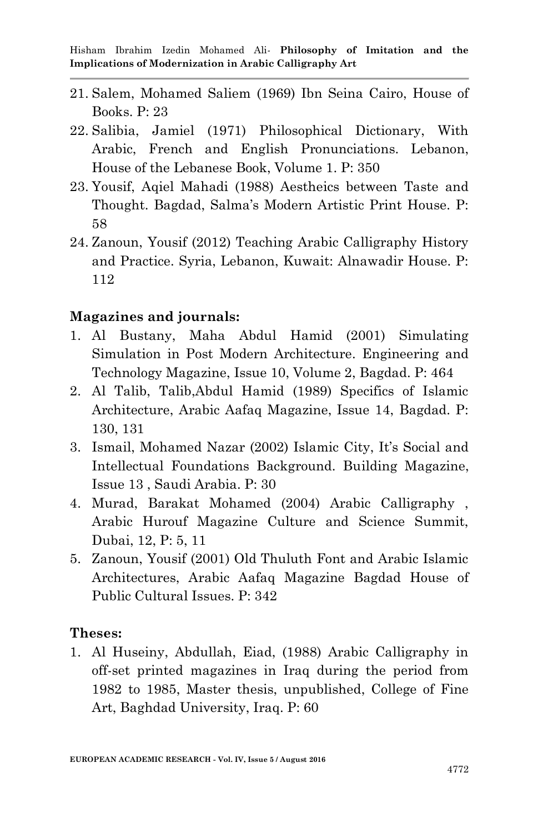- 21. Salem, Mohamed Saliem (1969) Ibn Seina Cairo, House of Books. P: 23
- 22. Salibia, Jamiel (1971) Philosophical Dictionary, With Arabic, French and English Pronunciations. Lebanon, House of the Lebanese Book, Volume 1. P: 350
- 23. Yousif, Aqiel Mahadi (1988) Aestheics between Taste and Thought. Bagdad, Salma's Modern Artistic Print House. P6 58
- 24. Zanoun, Yousif (2012) Teaching Arabic Calligraphy History and Practice. Syria, Lebanon, Kuwait: Alnawadir House. P: 112

#### **Magazines and journals:**

- 1. Al Bustany, Maha Abdul Hamid (2001) Simulating Simulation in Post Modern Architecture. Engineering and Technology Magazine, Issue 10, Volume 2, Bagdad. P: 464
- 2. Al Talib, Talib,Abdul Hamid (1989) Specifics of Islamic Architecture, Arabic Aafaq Magazine, Issue 14, Bagdad. P: 130, 131
- 3. Ismail, Mohamed Nazar (2002) Islamic City, It's Social and Intellectual Foundations Background. Building Magazine, Issue 13 , Saudi Arabia. P: 30
- 4. Murad, Barakat Mohamed (2004) Arabic Calligraphy , Arabic Hurouf Magazine Culture and Science Summit, Dubai, 12, P: 5, 11
- 5. Zanoun, Yousif (2001) Old Thuluth Font and Arabic Islamic Architectures, Arabic Aafaq Magazine Bagdad House of Public Cultural Issues. P: 342

#### **Theses:**

1. Al Huseiny, Abdullah, Eiad, (1988) Arabic Calligraphy in off-set printed magazines in Iraq during the period from 1982 to 1985, Master thesis, unpublished, College of Fine Art, Baghdad University, Iraq. P: 60